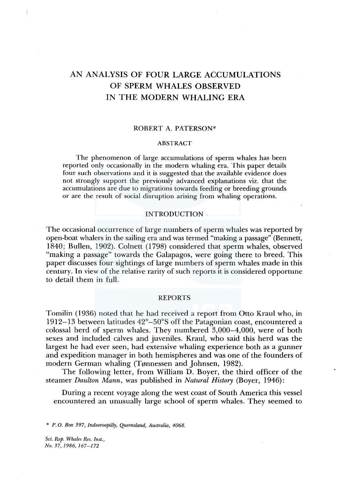# AN ANALYSIS OF FOUR LARGE ACCUMULATIONS OF SPERM WHALES OBSERVED IN THE MODERN WHALING ERA

### ROBERT A. PATERSON\*

### ABSTRACT

The phenomenon of large accumulations of sperm whales has been reported only occasionally in the modern whaling era. This paper details four such observations and it is suggested that the available evidence does not strongly support the previously advanced explanations viz. that the accumulations are due to migrations towards feeding or breeding grounds or are the result of social disruption arising from whaling operations.

#### INTRODUCTION .

The occasional occurrence of large numbers of sperm whales was reported by open-boat whalers in the sailing era and was termed "making a passage" (Bennett, 1840; Bullen, 1902). Colnett (1798) considered that sperm whales, observed "making a passage" towards the Galapagos, were going there to breed. This paper discusses four sightings of large numbers of sperm whales made in this century. In view of the relative rarity of such reports it is considered opportune to detail them in full.

#### REPORTS

Tomilin (1936) noted that he had received a report from Otto Kraul who, in 1912-13 between latitudes 42°-50°5 off the Patagonian coast, encountered a colossal herd of sperm whales. They numbered 3,000-4,000, were of both sexes and included calves and juveniles. Kraul, who said this herd was the largest he had ever seen, had extensive whaling experience both as a gunner and expedition manager in both hemispheres and was one of the founders of modern German whaling (Tønnessen and Johnsen, 1982).

The following letter, from William D. Boyer, the third officer of the steamer *Daulton Mann,* was published in *Natural History* (Boyer, 1946):

During a recent voyage along the west coast of South America this vessel encountered an unusually large school of sperm whales. They seemed to

\* *P. 0. Box 397, Indooroopilly, Qyeensland, Australia, 4068.* 

*Sci. Rep. Whales Res. Inst., No. 37, 1986, 167-172*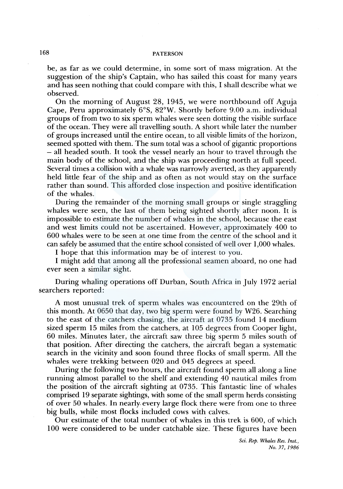# 168 PATERSON

be, as far as we could determine, in some sort of mass migration. At the suggestion of the ship's Captain, who has sailed this coast for many years and has seen nothing that could compare with this, I shall describe what we observed.

On the morning of August 28, 1945, we were northbound off Aguja Cape, Peru approximately 6°S, 82°W. Shortly before 9.00 a.m. individual groups of from two to six sperm whales were seen dotting the visible surface of the ocean. They were all travelling south. A short while later the number of groups increased until the entire ocean, to all visible limits of the horizon, seemed spotted with them. The sum total was a school of gigantic proportions - all headed south. It took the vessel nearly an hour to travel through the main body of the school, and the ship was proceeding north at full speed. Several times a collision with a whale was narrowly averted, as they apparently held little fear of the ship and as often as not would stay on the surface rather than sound. This afforded close inspection and positive identification of the whales.

During the remainder of the morning small groups or single straggling whales were seen, the last of them being sighted shortly after noon. It is impossible to estimate the number of whales in the school, because the east and west limits could not be ascertained. However, approximately 400 to 600 whales were to be seen at one time from the centre of the school and it can safely be assumed that the entire school consisted of well over 1,000 whales.

I hope that this information may be of interest to you.

I might add that among all the professional seamen aboard, no one had ever seen a similar sight.

During whaling operations off Durban, South Africa in July 1972 aerial searchers reported:

A most unusual trek of sperm whales was encountered on the 29th of this month. At 0650 that day, two big sperm were found by W26. Searching to the east of the catchers chasing, the aircraft at 0735 found 14 medium sized sperm 15 miles from the catchers, at 105 degrees from Cooper light, 60 miles. Minutes later, the aircraft saw three big sperm 5 miles south of that position. After directing the catchers, the aircraft began a systematic search in the vicinity and soon found three flocks of small sperm. All the whales were trekking between 020 and 045 degrees at speed.

During the following two hours, the aircraft found sperm all along a line running almost parallel to the shelf and extending 40 nautical miles from the position of the aircraft sighting at 0735. This fantastic line of whales comprised 19 separate sightings, with some of the small sperm herds consisting of over 50 whales. In nearly. every large flock there were from one to three big bulls, while most flocks included cows with calves.

Our estimate of the total number of whales in this trek is 600, of which 100 were considered to be under catchable size. These figures have been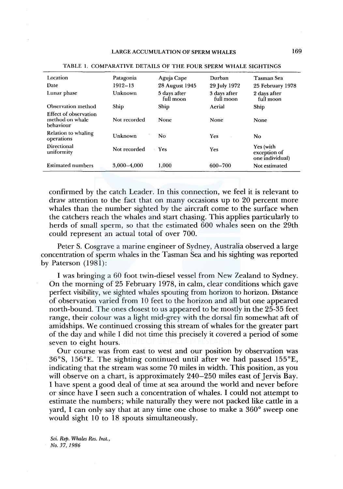| Location                                                     | Patagonia    | Aguja Cape                | Durban                    | <b>Tasman Sea</b>                            |
|--------------------------------------------------------------|--------------|---------------------------|---------------------------|----------------------------------------------|
| Date                                                         | 1912-13      | 28 August 1945            | 29 July 1972              | 25 February 1978                             |
| Lunar phase                                                  | Unknown      | 5 days after<br>full moon | 3 days after<br>full moon | 2 days after<br>full moon                    |
| Observation method                                           | Ship         | Ship                      | Aerial                    | Ship                                         |
| <b>Effect of observation</b><br>method on whale<br>behaviour | Not recorded | None                      | None                      | None                                         |
| Relation to whaling<br>operations                            | Unknown      | No                        | <b>Yes</b>                | N <sub>0</sub>                               |
| Directional<br>uniformity                                    | Not recorded | Yes                       | <b>Yes</b>                | Yes (with<br>exception of<br>one individual) |
| <b>Estimated numbers</b>                                     | 3.000-4.000  | 1.000                     | 600-700                   | Not estimated                                |
|                                                              |              |                           |                           |                                              |

TABLE 1. COMPARATIVE DETAILS OF THE FOUR SPERM WHALE SIGHTINGS

confirmed by the catch Leader. In this connection, we feel it is relevant to draw attention to the fact that on many occasions up to 20 percent more whales than the number sighted by the aircraft come to the surface when the catchers reach the whales and start chasing. This applies particularly to herds of small sperm, so that the estimated 600 whales seen on the 29th could represent an actual total of over 700.

Peter S. Cosgrave a marine engineer of Sydney, Australia observed a large concentration of sperm whales in the Tasman Sea and his sighting was reported by Paterson (1981):

I was bringing a 60 foot twin-diesel vessel from New Zealand to Sydney. On the morning of 25 February 1978, in calm, clear conditions which gave perfect visibility, we sighted whales spouting from horizon to horizon. Distance of observation varied from 10 feet to the horizon and all but one appeared north-bound. The ones closest to us appeared to be mostly in the 25-35 feet range, their colour was a light mid-grey with the dorsal fin somewhat aft of amidships. We continued crossing this stream of whales for the greater part of the day and while I did not time this precisely it covered a period of some seven to eight hours.

Our course was from east to west and our position by observation was 36°S, 156°E. The sighting continued until after we had passed 155°E, indicating that the stream was some 70 miles in width. This position, as you will observe on a chart, is approximately 240–250 miles east of Jervis Bay. I have spent a good deal of time at sea around the world and never before or since have I seen such a concentration of whales. I could not attempt to estimate the numbers; while naturally they were not packed like cattle in a yard, I can only say that at any time one chose to make a 360° sweep one would sight 10 to 18 spouts simultaneously.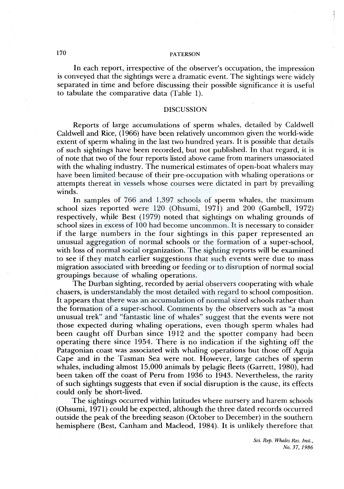# 170 PATERSON

In each report, irrespective of the observer's occupation, the impression is conveyed that the sightings were a dramatic event. The sightings were widely separated in time and before discussing their possible significance it is useful to tabulate the comparative data (Table 1).

### DISCUSSION

Reports of large accumulations of sperm whales, detailed by Caldwell Caldwell and Rice, (1966) have been relatively uncommon given the world-wide extent of sperm whaling in the last two hundred years. It is possible that details of such sightings have been recorded, but not published. In that regard, it is of note that two of the four reports listed above came from mariners unassociated with the whaling industry. The numerical estimates of open-boat whalers may have been limited because of their pre-occupation with whaling operations or attempts thereat in vessels whose courses were dictated in part by prevailing winds.

In samples of 766 and 1,397 schools of sperm whales, the maximum school sizes reported were 120 (Ohsumi, 1971) and 200 (Gambell, 1972) respectively, while Best (1979) noted that sightings on whaling grounds of school sizes in excess of 100 had become uncommon. It is necessary to consider if the large numbers in the four sightings in this paper represented an unusual aggregation of normal schools or the formation of a super-school, with loss of normal social organization. The sighting reports will be examined to see if they match earlier suggestions that such events were due to mass migration associated with breeding or feeding or to disruption of normal social groupings because of whaling operations.

The Durban sighting, recorded by aerial observers cooperating with whale chasers, is understandably the most detailed with regard to school composition. It appears that there was an accumulation of normal sized schools rather than the formation of a super-school. Comments by the observers such as "a most unusual trek" and "fantastic line of whales" suggest that the events were not those expected during whaling operations, even though sperm whales had been caught off Durban since 1912 and the spotter company had been operating there since 1954. There is no indication if the sighting off the Patagonian coast was associated with whaling operations but those off Aguja Cape and in the Tasman Sea were not. However, large catches of sperm whales, including almost 15,000 animals by pelagic fleets (Garrett, 1980), had been taken off the coast of Peru from 1936 to 1943. Nevertheless, the rarity of such sightings suggests that even if social disruption is the cause, its effects could only be short-lived.

The sightings occurred within latitudes where nursery and harem schools (Ohsumi, 1971) could be expected, although the three dated records occurred outside the peak of the breeding season (October to December) in the southern hemisphere (Best, Canham and Macleod, 1984). It is unlikely therefore that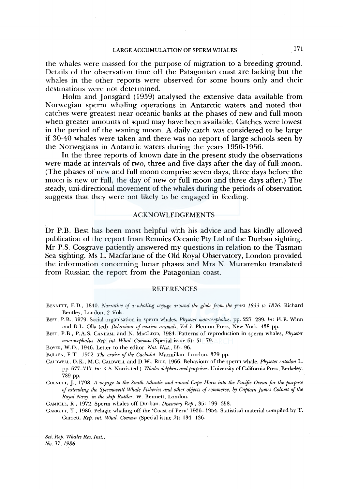# LARGE ACCUMULATION OF SPERM WHALES 171

the whales were massed for the purpose of migration to a breeding ground. Details of the observation time off the Patagonian coast are lacking but the whales in the other reports were observed for some hours only and their destinations were not determined.

Holm and Jonsgård (1959) analysed the extensive data available from Norwegian sperm whaling operations in Antarctic waters and noted that catches were greatest near oceanic banks at the phases of new and full moon when greater amounts of squid may have been available. Catches were lowest in the period of the waning moon. A daily catch was considered to be large if 30-40 whales were taken and there was no report of large schools seen by the Norwegians in Antarctic waters during the years 1950-1956.

In the three reports of known date in the present study the observations were made at intervals of two, three and five days after the day of full moon. (The phases of new and full moon comprise seven days, three days before the moon is new or full, the day of new or full moon and three days after.) The steady, uni-directional movement of the whales during the periods of observation suggests that they were not likely to be engaged in feeding.

#### ACKNOWLEDGEMENTS

Dr P.B. Best has been most helpful with his advice and has kindly allowed publication of the report from Rennies Oceanic Pty Ltd of the Durban sighting. Mr P.S. Cosgrave patiently answered my questions in relation to the Tasman Sea sighting. Ms L. Macfarlane of the Old Royal Observatory, London provided the information concerning lunar phases and Mrs N. Murarenko translated from Russian the report from the Patagonian coast.

#### **REFERENCES**

BENNETT, F. D., 1840. *Narrative of a· whaling voyage around the globe from the years 1833 to 1836.* Richard Bentley, London, 2 Vols.

BEST, P.B., 1979. Social organisation in sperm whales, *Physeter macrocephalus.* pp. 227-289. Jn: H.E. Winn and B.L. Olla (ed) *Behaviour of marine animals, Vol.3.* Plenum Press, New York. 438 pp.

BEST, P. B., P.A. S. CANHAM, and N. MACLEOD, 1984. Patterns of reproduction in sperm whales, *Physeter macrocephalus. Rep. int. Whal. Commn* (Special issue 6): 51-79.

BOYER, W. D., 1946. Letter to the editor. *Nat. Hist.,* 55: 96.

BULLEN, F.T., 1902. *The cruise of the Cachalot*. Macmillan, London. 379 pp.

CALDWELL, D. K., M. C. CALDWELL and D. W., RICE, 1966. Behaviour of the sperm whale, *Physeter catodon* L. pp. 677-717. *Jn:* K.S. Norris (ed.) *Whales dolphins and porpoises.* University of California Press, Berkeley. 789 pp.

CoLNETT, J., 1798. *A voyage to the South Atlantic and round Cape Hom into the Pacific Ocean for the purpose of extending the Spermacettz' Whale Fisheries and other objects of commerce,* by *Captain James Colnett of the Royal Navy, in the ship Rattler.* W. Bennett, London.

GAMBELL, R., 1972. Sperm whales off Durban. *Discovery Rep.,* 35: 199-358.

GARRETT, T., 1980. Pelagic whaling off the 'Coast of Peru' 1936–1954. Statistical material compiled by T. Garrett. *Rep. int. Whal. Commn* (Special issue 2): 134-136.